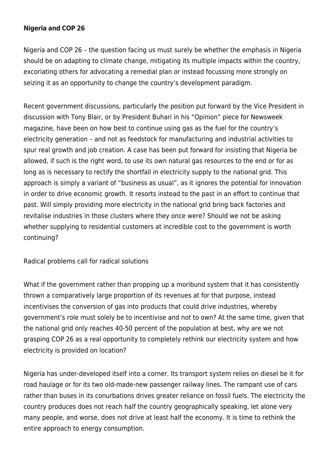### **[Nigeria and COP 26](https://thepoliteiainstitute.org/africa-today/nigeria-and-cop-26/)**

Nigeria and COP 26 – the question facing us must surely be whether the emphasis in Nigeria should be on adapting to climate change, mitigating its multiple impacts within the country, excoriating others for advocating a remedial plan or instead focussing more strongly on seizing it as an opportunity to change the country's development paradigm.

Recent government discussions, particularly the position put forward by the Vice President in discussion with Tony Blair, or by President Buhari in his "Opinion" piece for Newsweek magazine, have been on how best to continue using gas as the fuel for the country's electricity generation – and not as feedstock for manufacturing and industrial activities to spur real growth and job creation. A case has been put forward for insisting that Nigeria be allowed, if such is the right word, to use its own natural gas resources to the end or for as long as is necessary to rectify the shortfall in electricity supply to the national grid. This approach is simply a variant of "business as usual", as it ignores the potential for innovation in order to drive economic growth. It resorts instead to the past in an effort to continue that past. Will simply providing more electricity in the national grid bring back factories and revitalise industries in those clusters where they once were? Should we not be asking whether supplying to residential customers at incredible cost to the government is worth continuing?

Radical problems call for radical solutions

What if the government rather than propping up a moribund system that it has consistently thrown a comparatively large proportion of its revenues at for that purpose, instead incentivises the conversion of gas into products that could drive industries, whereby government's role must solely be to incentivise and not to own? At the same time, given that the national grid only reaches 40-50 percent of the population at best, why are we not grasping COP 26 as a real opportunity to completely rethink our electricity system and how electricity is provided on location?

Nigeria has under-developed itself into a corner. Its transport system relies on diesel be it for road haulage or for its two old-made-new passenger railway lines. The rampant use of cars rather than buses in its conurbations drives greater reliance on fossil fuels. The electricity the country produces does not reach half the country geographically speaking, let alone very many people, and worse, does not drive at least half the economy. It is time to rethink the entire approach to energy consumption.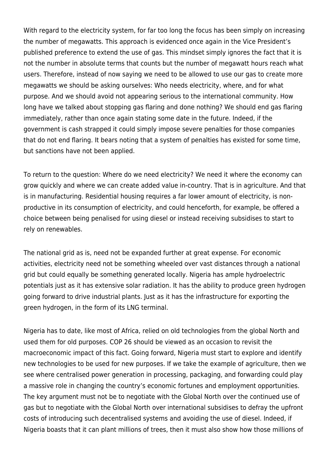With regard to the electricity system, for far too long the focus has been simply on increasing the number of megawatts. This approach is evidenced once again in the Vice President's published preference to extend the use of gas. This mindset simply ignores the fact that it is not the number in absolute terms that counts but the number of megawatt hours reach what users. Therefore, instead of now saying we need to be allowed to use our gas to create more megawatts we should be asking ourselves: Who needs electricity, where, and for what purpose. And we should avoid not appearing serious to the international community. How long have we talked about stopping gas flaring and done nothing? We should end gas flaring immediately, rather than once again stating some date in the future. Indeed, if the government is cash strapped it could simply impose severe penalties for those companies that do not end flaring. It bears noting that a system of penalties has existed for some time, but sanctions have not been applied.

To return to the question: Where do we need electricity? We need it where the economy can grow quickly and where we can create added value in-country. That is in agriculture. And that is in manufacturing. Residential housing requires a far lower amount of electricity, is nonproductive in its consumption of electricity, and could henceforth, for example, be offered a choice between being penalised for using diesel or instead receiving subsidises to start to rely on renewables.

The national grid as is, need not be expanded further at great expense. For economic activities, electricity need not be something wheeled over vast distances through a national grid but could equally be something generated locally. Nigeria has ample hydroelectric potentials just as it has extensive solar radiation. It has the ability to produce green hydrogen going forward to drive industrial plants. Just as it has the infrastructure for exporting the green hydrogen, in the form of its LNG terminal.

Nigeria has to date, like most of Africa, relied on old technologies from the global North and used them for old purposes. COP 26 should be viewed as an occasion to revisit the macroeconomic impact of this fact. Going forward, Nigeria must start to explore and identify new technologies to be used for new purposes. If we take the example of agriculture, then we see where centralised power generation in processing, packaging, and forwarding could play a massive role in changing the country's economic fortunes and employment opportunities. The key argument must not be to negotiate with the Global North over the continued use of gas but to negotiate with the Global North over international subsidises to defray the upfront costs of introducing such decentralised systems and avoiding the use of diesel. Indeed, if Nigeria boasts that it can plant millions of trees, then it must also show how those millions of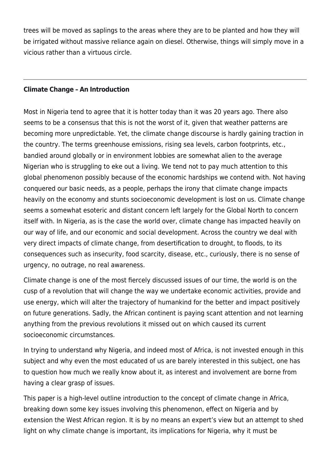trees will be moved as saplings to the areas where they are to be planted and how they will be irrigated without massive reliance again on diesel. Otherwise, things will simply move in a vicious rather than a virtuous circle.

#### **[Climate Change – An Introduction](https://thepoliteiainstitute.org/climate-change/climate-change/)**

Most in Nigeria tend to agree that it is hotter today than it was 20 years ago. There also seems to be a consensus that this is not the worst of it, given that weather patterns are becoming more unpredictable. Yet, the climate change discourse is hardly gaining traction in the country. The terms greenhouse emissions, rising sea levels, carbon footprints, etc., bandied around globally or in environment lobbies are somewhat alien to the average Nigerian who is struggling to eke out a living. We tend not to pay much attention to this global phenomenon possibly because of the economic hardships we contend with. Not having conquered our basic needs, as a people, perhaps the irony that climate change impacts heavily on the economy and stunts socioeconomic development is lost on us. Climate change seems a somewhat esoteric and distant concern left largely for the Global North to concern itself with. In Nigeria, as is the case the world over, climate change has impacted heavily on our way of life, and our economic and social development. Across the country we deal with very direct impacts of climate change, from desertification to drought, to floods, to its consequences such as insecurity, food scarcity, disease, etc., curiously, there is no sense of urgency, no outrage, no real awareness.

Climate change is one of the most fiercely discussed issues of our time, the world is on the cusp of a revolution that will change the way we undertake economic activities, provide and use energy, which will alter the trajectory of humankind for the better and impact positively on future generations. Sadly, the African continent is paying scant attention and not learning anything from the previous revolutions it missed out on which caused its current socioeconomic circumstances.

In trying to understand why Nigeria, and indeed most of Africa, is not invested enough in this subject and why even the most educated of us are barely interested in this subject, one has to question how much we really know about it, as interest and involvement are borne from having a clear grasp of issues.

This paper is a high-level outline introduction to the concept of climate change in Africa, breaking down some key issues involving this phenomenon, effect on Nigeria and by extension the West African region. It is by no means an expert's view but an attempt to shed light on why climate change is important, its implications for Nigeria, why it must be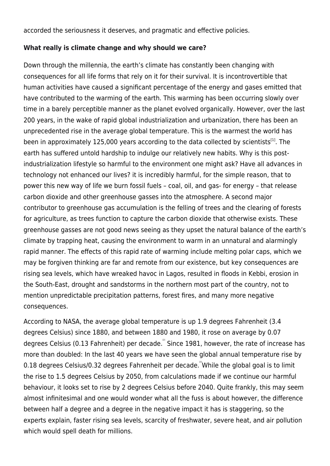accorded the seriousness it deserves, and pragmatic and effective policies.

#### **What really is climate change and why should we care?**

Down through the millennia, the earth's climate has constantly been changing with consequences for all life forms that rely on it for their survival. It is incontrovertible that human activities have caused a significant percentage of the energy and gases emitted that have contributed to the warming of the earth. This warming has been occurring slowly over time in a barely perceptible manner as the planet evolved organically. However, over the last 200 years, in the wake of rapid global industrialization and urbanization, there has been an unprecedented rise in the average global temperature. This is the warmest the world has been in approximately 125,000 years according to the data collected by scientists<sup>[\[1\]](#page--1-0)</sup>. The earth has suffered untold hardship to indulge our relatively new habits. Why is this postindustrialization lifestyle so harmful to the environment one might ask? Have all advances in technology not enhanced our lives? it is incredibly harmful, for the simple reason, that to power this new way of life we burn fossil fuels – coal, oil, and gas- for energy – that release carbon dioxide and other greenhouse gasses into the atmosphere. A second major contributor to greenhouse gas accumulation is the felling of trees and the clearing of forests for agriculture, as trees function to capture the carbon dioxide that otherwise exists. These greenhouse gasses are not good news seeing as they upset the natural balance of the earth's climate by trapping heat, causing the environment to warm in an unnatural and alarmingly rapid manner. The effects of this rapid rate of warming include melting polar caps, which we may be forgiven thinking are far and remote from our existence, but key consequences are rising sea levels, which have wreaked havoc in Lagos, resulted in floods in Kebbi, erosion in the South-East, drought and sandstorms in the northern most part of the country, not to mention unpredictable precipitation patterns, forest fires, and many more negative consequences.

According to NASA, the average global temperature is up 1.9 degrees Fahrenheit (3.4 degrees Celsius) since 1880, and between 1880 and 1980, it rose on average by 0.07 degrees Celsius (0.13 Fahrenheit) per decade. Since 1981, however, the rate of increase has more than doubled: In the last 40 years we have seen the global annual temperature rise by 0.18 degrees Celsius/0.32 degrees Fahrenheit per decade. "While the global goal is to limit the rise to 1.5 degrees Celsius by 2050, from calculations made if we continue our harmful behaviour, it looks set to rise by 2 degrees Celsius before 2040. Quite frankly, this may seem almost infinitesimal and one would wonder what all the fuss is about however, the difference between half a degree and a degree in the negative impact it has is staggering, so the experts explain, faster rising sea levels, scarcity of freshwater, severe heat, and air pollution which would spell death for millions.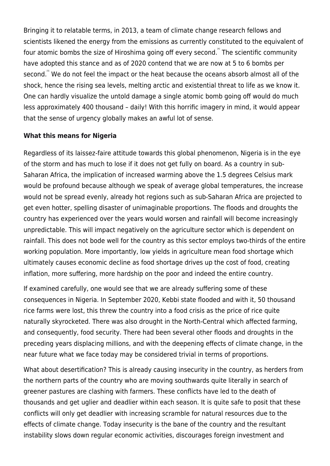Bringing it to relatable terms, in 2013, a team of climate change research fellows and scientists likened the energy from the emissions as currently constituted to the equivalent of four atomic bombs the size of Hiroshima going off every second. The scientific community have adopted this stance and as of 2020 contend that we are now at 5 to 6 bombs per second.<sup>"</sup> We do not feel the impact or the heat because the oceans absorb almost all of the shock, hence the rising sea levels, melting arctic and existential threat to life as we know it. One can hardly visualize the untold damage a single atomic bomb going off would do much less approximately 400 thousand – daily! With this horrific imagery in mind, it would appear that the sense of urgency globally makes an awful lot of sense.

## **What this means for Nigeria**

Regardless of its laissez-faire attitude towards this global phenomenon, Nigeria is in the eye of the storm and has much to lose if it does not get fully on board. As a country in sub-Saharan Africa, the implication of increased warming above the 1.5 degrees Celsius mark would be profound because although we speak of average global temperatures, the increase would not be spread evenly, already hot regions such as sub-Saharan Africa are projected to get even hotter, spelling disaster of unimaginable proportions. The floods and droughts the country has experienced over the years would worsen and rainfall will become increasingly unpredictable. This will impact negatively on the agriculture sector which is dependent on rainfall. This does not bode well for the country as this sector employs two-thirds of the entire working population. More importantly, low yields in agriculture mean food shortage which ultimately causes economic decline as food shortage drives up the cost of food, creating inflation, more suffering, more hardship on the poor and indeed the entire country.

If examined carefully, one would see that we are already suffering some of these consequences in Nigeria. In September 2020, Kebbi state flooded and with it, 50 thousand rice farms were lost, this threw the country into a food crisis as the price of rice quite naturally skyrocketed. There was also drought in the North-Central which affected farming, and consequently, food security. There had been several other floods and droughts in the preceding years displacing millions, and with the deepening effects of climate change, in the near future what we face today may be considered trivial in terms of proportions.

What about desertification? This is already causing insecurity in the country, as herders from the northern parts of the country who are moving southwards quite literally in search of greener pastures are clashing with farmers. These conflicts have led to the death of thousands and get uglier and deadlier within each season. It is quite safe to posit that these conflicts will only get deadlier with increasing scramble for natural resources due to the effects of climate change. Today insecurity is the bane of the country and the resultant instability slows down regular economic activities, discourages foreign investment and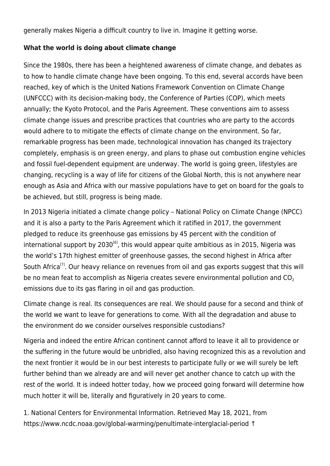generally makes Nigeria a difficult country to live in. Imagine it getting worse.

# **What the world is doing about climate change**

Since the 1980s, there has been a heightened awareness of climate change, and debates as to how to handle climate change have been ongoing. To this end, several accords have been reached, key of which is the United Nations Framework Convention on Climate Change (UNFCCC) with its decision-making body, the Conference of Parties (COP), which meets annually; the Kyoto Protocol, and the Paris Agreement. These conventions aim to assess climate change issues and prescribe practices that countries who are party to the accords would adhere to to mitigate the effects of climate change on the environment. So far, remarkable progress has been made, technological innovation has changed its trajectory completely, emphasis is on green energy, and plans to phase out combustion engine vehicles and fossil fuel-dependent equipment are underway. The world is going green, lifestyles are changing, recycling is a way of life for citizens of the Global North, this is not anywhere near enough as Asia and Africa with our massive populations have to get on board for the goals to be achieved, but still, progress is being made.

In 2013 Nigeria initiated a climate change policy – National Policy on Climate Change (NPCC) and it is also a party to the Paris Agreement which it ratified in 2017, the government pledged to reduce its greenhouse gas emissions by 45 percent with the condition of international support by  $2030^{6}$ , this would appear quite ambitious as in 2015, Nigeria was the world's 17th highest emitter of greenhouse gasses, the second highest in Africa after South Africa<sup>[\[7\]](#page--1-0)</sup>. Our heavy reliance on revenues from oil and gas exports suggest that this will be no mean feat to accomplish as Nigeria creates severe environmental pollution and  $CO<sub>2</sub>$ emissions due to its gas flaring in oil and gas production.

Climate change is real. Its consequences are real. We should pause for a second and think of the world we want to leave for generations to come. With all the degradation and abuse to the environment do we consider ourselves responsible custodians?

Nigeria and indeed the entire African continent cannot afford to leave it all to providence or the suffering in the future would be unbridled, also having recognized this as a revolution and the next frontier it would be in our best interests to participate fully or we will surely be left further behind than we already are and will never get another chance to catch up with the rest of the world. It is indeed hotter today, how we proceed going forward will determine how much hotter it will be, literally and figuratively in 20 years to come.

1. National Centers for Environmental Information. Retrieved May 18, 2021, from https://www.ncdc.noaa.gov/global-warming/penultimate-interglacial-period [↑](#page--1-0)